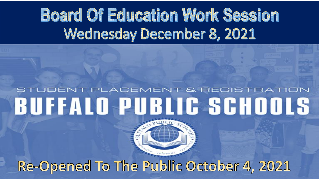# **Board Of Education Work Session Wednesday December 8, 2021**

## STUDENT PLACEMENT & REGISTRATION **BUFFALO PUBLIC SCHOOLS**

#### Re-Opened To The Public October 4, 2021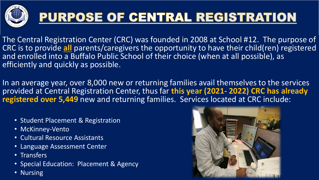

#### PURPOSE OF CENTRAL REGISTRATION

The Central Registration Center (CRC) was founded in 2008 at School #12. The purpose of CRC is to provide **all** parents/caregivers the opportunity to have their child(ren) registered and enrolled into a Buffalo Public School of their choice (when at all possible), as efficiently and quickly as possible.

In an average year, over 8,000 new or returning families avail themselves to the services provided at Central Registration Center, thus far **this year (2021- 2022) CRC has already registered over 5,449** new and returning families. Services located at CRC include:

- Student Placement & Registration
- McKinney-Vento
- Cultural Resource Assistants
- Language Assessment Center
- Transfers
- Special Education: Placement & Agency
- Nursing

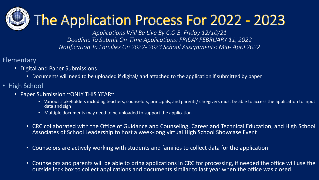# $\bigcup$  The Application Process For 2022 - 2023

*Applications Will Be Live By C.O.B. Friday 12/10/21 Deadline To Submit On-Time Applications: FRIDAY FEBRUARY 11, 2022 Notification To Families On 2022- 2023 School Assignments: Mid- April 2022* 

- Elementary
	- Digital and Paper Submissions
		- Documents will need to be uploaded if digital/ and attached to the application if submitted by paper
- High School
	- Paper Submission ~ONLY THIS YEAR~
		- Various stakeholders including teachers, counselors, principals, and parents/ caregivers must be able to access the application to input data and sign
		- Multiple documents may need to be uploaded to support the application
		- CRC collaborated with the Office of Guidance and Counseling, Career and Technical Education, and High School Associates of School Leadership to host a week-long virtual High School Showcase Event
		- Counselors are actively working with students and families to collect data for the application
		- Counselors and parents will be able to bring applications in CRC for processing, if needed the office will use the outside lock box to collect applications and documents similar to last year when the office was closed.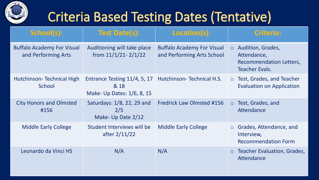

#### **Criteria Based Testing Dates (Tentative)**

| School(s):                                               | <b>Test Date(s):</b>                                               | Location(s):                                                    |         | <b>Criteria:</b>                                                                     |
|----------------------------------------------------------|--------------------------------------------------------------------|-----------------------------------------------------------------|---------|--------------------------------------------------------------------------------------|
| <b>Buffalo Academy For Visual</b><br>and Performing Arts | Auditioning will take place<br>from $11/1/21 - 2/1/22$             | <b>Buffalo Academy For Visual</b><br>and Performing Arts School | $\circ$ | Audition, Grades,<br>Attendance,<br>Recommendation Letters,<br><b>Teacher Evals.</b> |
| Hutchinson-Technical High<br>School                      | Entrance Testing 11/4, 5, 17<br>& 18<br>Make- Up Dates: 1/6, 8, 15 | <b>Hutchinson-Technical H.S.</b>                                | $\circ$ | Test, Grades, and Teacher<br><b>Evaluation on Application</b>                        |
| <b>City Honors and Olmsted</b><br>#156                   | Saturdays: 1/8, 22, 29 and<br>2/5<br>Make- Up Date 2/12            | <b>Fredrick Law Olmsted #156</b>                                | $\circ$ | Test, Grades, and<br>Attendance                                                      |
| <b>Middle Early College</b>                              | Student Interviews will be<br>after $2/11/22$                      | <b>Middle Early College</b>                                     |         | $\circ$ Grades, Attendance, and<br>Interview,<br><b>Recommendation Form</b>          |
| Leonardo da Vinci HS                                     | N/A                                                                | N/A                                                             | $\circ$ | <b>Teacher Evaluation, Grades,</b><br>Attendance                                     |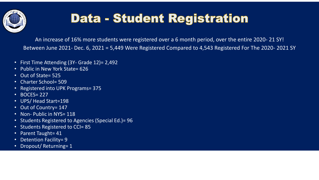

#### Data - Student Registration

An increase of 16% more students were registered over a 6 month period, over the entire 2020- 21 SY! Between June 2021- Dec. 6, 2021 = 5,449 Were Registered Compared to 4,543 Registered For The 2020- 2021 SY

- First Time Attending (3Y- Grade 12)= 2,492
- Public in New York State= 626
- Out of State= 525
- Charter School= 509
- Registered into UPK Programs= 375
- BOCES= 227
- UPS/ Head Start=198
- Out of Country= 147
- Non- Public in NYS= 118
- Students Registered to Agencies (Special Ed.)= 96
- Students Registered to CCI= 85
- Parent Taught= 41
- Detention Facility= 9
- Dropout/Returning= 1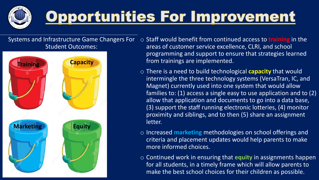

# <u>Opportunities For Improvement</u>

Systems and Infrastructure Game Changers For Student Outcomes:



- o Staff would benefit from continued access to **training** in the areas of customer service excellence, CLRI, and school programming and support to ensure that strategies learned from trainings are implemented.
- o There is a need to build technological **capacity** that would intermingle the three technology systems (VersaTran, IC, and Magnet) currently used into one system that would allow families to: (1) access a single easy to use application and to (2) allow that application and documents to go into a data base, (3) support the staff running electronic lotteries, (4) monitor proximity and siblings, and to then  $(5)$  share an assignment letter.
- o Increased **marketing** methodologies on school offerings and criteria and placement updates would help parents to make more informed choices.
- o Continued work in ensuring that **equity** in assignments happen for all students, in a timely frame which will allow parents to make the best school choices for their children as possible.